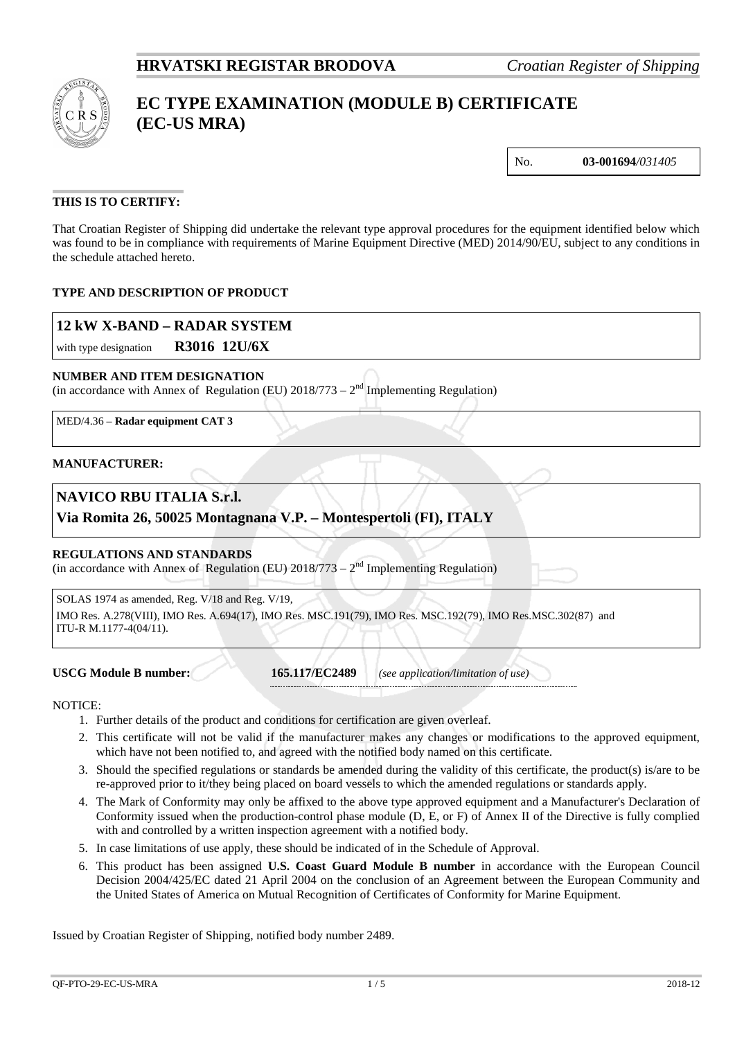

# **EC TYPE EXAMINATION (MODULE B) CERTIFICATE (EC-US MRA)**

No. **03-001694***/031405*

## **THIS IS TO CERTIFY:**

That Croatian Register of Shipping did undertake the relevant type approval procedures for the equipment identified below which was found to be in compliance with requirements of Marine Equipment Directive (MED) 2014/90/EU, subject to any conditions in the schedule attached hereto.

## **TYPE AND DESCRIPTION OF PRODUCT**

## **12 kW X-BAND – RADAR SYSTEM**

with type designation **R3016 12U/6X**

#### **NUMBER AND ITEM DESIGNATION**

(in accordance with Annex of Regulation (EU)  $2018/773 - 2^{nd}$  Implementing Regulation)

MED/4.36 – **Radar equipment CAT 3**

#### **MANUFACTURER:**

## **NAVICO RBU ITALIA S.r.l.**

## **Via Romita 26, 50025 Montagnana V.P. – Montespertoli (FI), ITALY**

#### **REGULATIONS AND STANDARDS**

(in accordance with Annex of Regulation (EU)  $2018/773 - 2<sup>nd</sup>$  Implementing Regulation)

SOLAS 1974 as amended, Reg. V/18 and Reg. V/19, IMO Res. A.278(VIII), IMO Res. A.694(17), IMO Res. MSC.191(79), IMO Res. MSC.192(79), IMO Res.MSC.302(87) and ITU-R M.1177-4(04/11).

**USCG Module B number: 165.117/EC2489** *(see application/limitation of use)*

NOTICE:

- 1. Further details of the product and conditions for certification are given overleaf.
- 2. This certificate will not be valid if the manufacturer makes any changes or modifications to the approved equipment, which have not been notified to, and agreed with the notified body named on this certificate.
- 3. Should the specified regulations or standards be amended during the validity of this certificate, the product(s) is/are to be re-approved prior to it/they being placed on board vessels to which the amended regulations or standards apply.
- 4. The Mark of Conformity may only be affixed to the above type approved equipment and a Manufacturer's Declaration of Conformity issued when the production-control phase module (D, E, or F) of Annex II of the Directive is fully complied with and controlled by a written inspection agreement with a notified body.
- 5. In case limitations of use apply, these should be indicated of in the Schedule of Approval.
- 6. This product has been assigned **U.S. Coast Guard Module B number** in accordance with the European Council Decision 2004/425/EC dated 21 April 2004 on the conclusion of an Agreement between the European Community and the United States of America on Mutual Recognition of Certificates of Conformity for Marine Equipment.

Issued by Croatian Register of Shipping, notified body number 2489.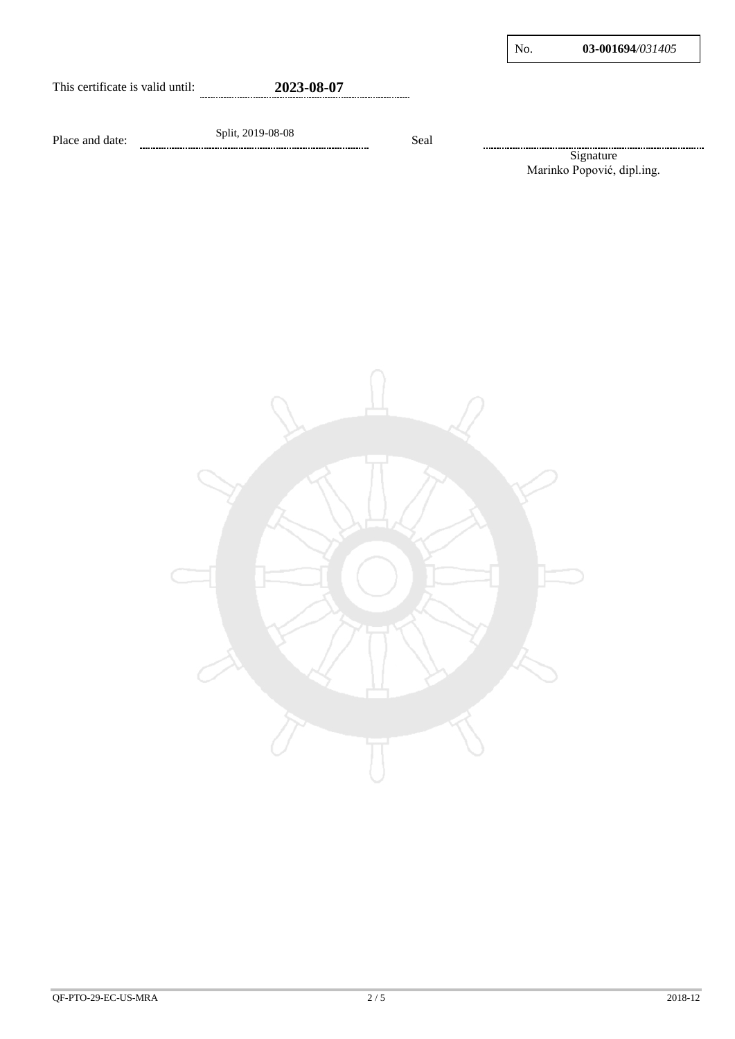#### This certificate is valid until: **2023-08-07** --------------------

Place and date: Split, 2019-08-08 Seal

Signature ....................... Marinko Popović, dipl.ing.

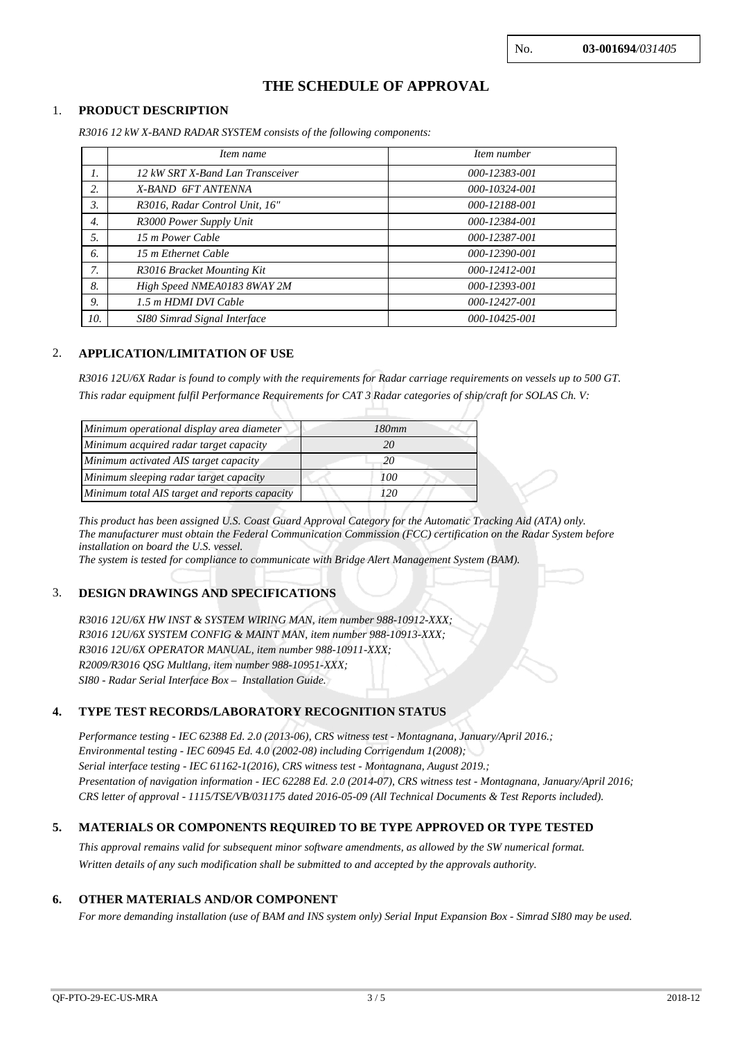# **THE SCHEDULE OF APPROVAL**

#### 1. **PRODUCT DESCRIPTION**

*R3016 12 kW X-BAND RADAR SYSTEM consists of the following components:*

|                  | Item name                        | Item number   |  |
|------------------|----------------------------------|---------------|--|
| 1.               | 12 kW SRT X-Band Lan Transceiver | 000-12383-001 |  |
| 2.               | X-BAND 6FT ANTENNA               | 000-10324-001 |  |
| 3.               | R3016, Radar Control Unit, 16"   | 000-12188-001 |  |
| $\overline{4}$ . | R3000 Power Supply Unit          | 000-12384-001 |  |
| 5.               | 15 m Power Cable                 | 000-12387-001 |  |
| 6.               | 15 m Ethernet Cable              | 000-12390-001 |  |
| 7.               | R3016 Bracket Mounting Kit       | 000-12412-001 |  |
| 8.               | High Speed NMEA0183 8WAY 2M      | 000-12393-001 |  |
| 9.               | 1.5 m HDMI DVI Cable             | 000-12427-001 |  |
| 10.              | SI80 Simrad Signal Interface     | 000-10425-001 |  |

#### 2. **APPLICATION/LIMITATION OF USE**

*R3016 12U/6X Radar is found to comply with the requirements for Radar carriage requirements on vessels up to 500 GT. This radar equipment fulfil Performance Requirements for CAT 3 Radar categories of ship/craft for SOLAS Ch. V:*

| Minimum operational display area diameter     | 180mm |  |
|-----------------------------------------------|-------|--|
| Minimum acquired radar target capacity        | 20    |  |
| Minimum activated AIS target capacity         | 20    |  |
| Minimum sleeping radar target capacity        | 100   |  |
| Minimum total AIS target and reports capacity | 120   |  |

*This product has been assigned U.S. Coast Guard Approval Category for the Automatic Tracking Aid (ATA) only. The manufacturer must obtain the Federal Communication Commission (FCC) certification on the Radar System before installation on board the U.S. vessel.*

*The system is tested for compliance to communicate with Bridge Alert Management System (BAM).*

#### 3. **DESIGN DRAWINGS AND SPECIFICATIONS**

*R3016 12U/6X HW INST & SYSTEM WIRING MAN, item number 988-10912-XXX; R3016 12U/6X SYSTEM CONFIG & MAINT MAN, item number 988-10913-XXX; R3016 12U/6X OPERATOR MANUAL, item number 988-10911-XXX; R2009/R3016 QSG Multlang, item number 988-10951-XXX; SI80 - Radar Serial Interface Box – Installation Guide.*

### **4. TYPE TEST RECORDS/LABORATORY RECOGNITION STATUS**

*Performance testing - IEC 62388 Ed. 2.0 (2013-06), CRS witness test - Montagnana, January/April 2016.; Environmental testing - IEC 60945 Ed. 4.0 (2002-08) including Corrigendum 1(2008); Serial interface testing - IEC 61162-1(2016), CRS witness test - Montagnana, August 2019.; Presentation of navigation information - IEC 62288 Ed. 2.0 (2014-07), CRS witness test - Montagnana, January/April 2016; CRS letter of approval - 1115/TSE/VB/031175 dated 2016-05-09 (All Technical Documents & Test Reports included).*

#### **5. MATERIALS OR COMPONENTS REQUIRED TO BE TYPE APPROVED OR TYPE TESTED**

*This approval remains valid for subsequent minor software amendments, as allowed by the SW numerical format. Written details of any such modification shall be submitted to and accepted by the approvals authority.*

#### **6. OTHER MATERIALS AND/OR COMPONENT**

*For more demanding installation (use of BAM and INS system only) Serial Input Expansion Box - Simrad SI80 may be used.*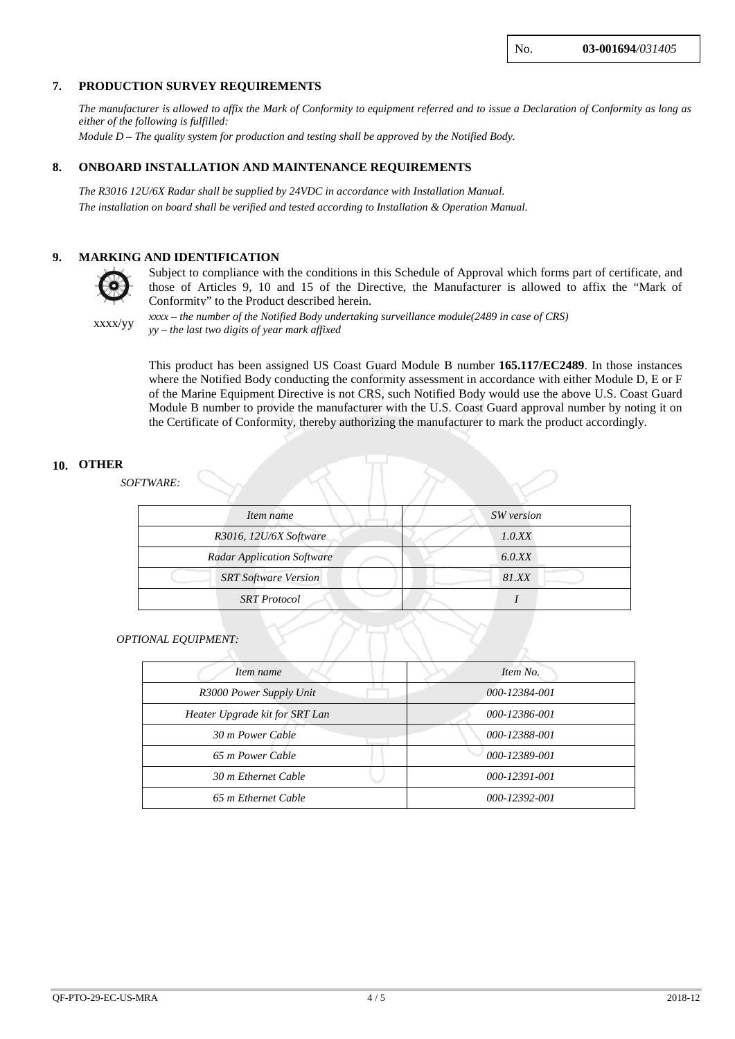No. **03-001694***/031405*

#### **7. PRODUCTION SURVEY REQUIREMENTS**

*The manufacturer is allowed to affix the Mark of Conformity to equipment referred and to issue a Declaration of Conformity as long as either of the following is fulfilled:*

*Module D – The quality system for production and testing shall be approved by the Notified Body.*

#### **8. ONBOARD INSTALLATION AND MAINTENANCE REQUIREMENTS**

*The R3016 12U/6X Radar shall be supplied by 24VDC in accordance with Installation Manual. The installation on board shall be verified and tested according to Installation & Operation Manual.*

#### **9. MARKING AND IDENTIFICATION**



Subject to compliance with the conditions in this Schedule of Approval which forms part of certificate, and those of Articles 9, 10 and 15 of the Directive, the Manufacturer is allowed to affix the "Mark of Conformity" to the Product described herein.

xxxx/yy *xxxx – the number of the Notified Body undertaking surveillance module(2489 in case of CRS) yy – the last two digits of year mark affixed*

> This product has been assigned US Coast Guard Module B number **165.117/EC2489**. In those instances where the Notified Body conducting the conformity assessment in accordance with either Module D, E or F of the Marine Equipment Directive is not CRS, such Notified Body would use the above U.S. Coast Guard Module B number to provide the manufacturer with the U.S. Coast Guard approval number by noting it on the Certificate of Conformity, thereby authorizing the manufacturer to mark the product accordingly.

#### **10. OTHER**

 *SOFTWARE:*

| Item name                         | SW version |  |
|-----------------------------------|------------|--|
| R3016, 12U/6X Software            | 1.0.XX     |  |
| <b>Radar Application Software</b> | 6.0.XX     |  |
| <b>SRT Software Version</b>       | 81.XX      |  |
| <b>SRT</b> Protocol               |            |  |

#### *OPTIONAL EQUIPMENT:*

| Item name                      | Item No.      |
|--------------------------------|---------------|
| R3000 Power Supply Unit        | 000-12384-001 |
| Heater Upgrade kit for SRT Lan | 000-12386-001 |
| 30 m Power Cable               | 000-12388-001 |
| 65 m Power Cable               | 000-12389-001 |
| 30 m Ethernet Cable            | 000-12391-001 |
| 65 m Ethernet Cable            | 000-12392-001 |